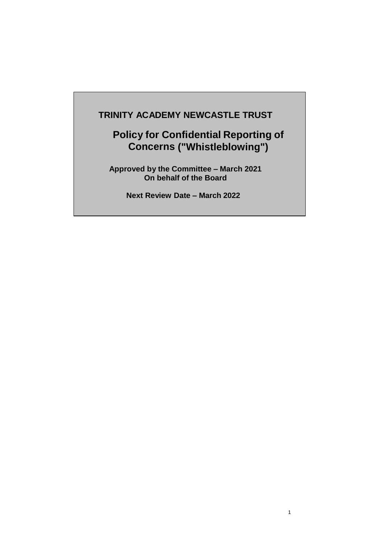## **TRINITY ACADEMY NEWCASTLE TRUST**

# **Policy for Confidential Reporting of Concerns ("Whistleblowing")**

**Approved by the Committee – March 2021 On behalf of the Board**

**Next Review Date – March 2022**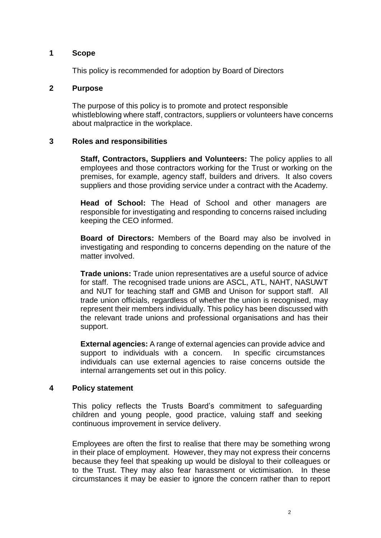#### **1 Scope**

This policy is recommended for adoption by Board of Directors

#### **2 Purpose**

The purpose of this policy is to promote and protect responsible whistleblowing where staff, contractors, suppliers or volunteers have concerns about malpractice in the workplace.

### **3 Roles and responsibilities**

**Staff, Contractors, Suppliers and Volunteers:** The policy applies to all employees and those contractors working for the Trust or working on the premises, for example, agency staff, builders and drivers. It also covers suppliers and those providing service under a contract with the Academy.

**Head of School:** The Head of School and other managers are responsible for investigating and responding to concerns raised including keeping the CEO informed.

**Board of Directors:** Members of the Board may also be involved in investigating and responding to concerns depending on the nature of the matter involved.

**Trade unions:** Trade union representatives are a useful source of advice for staff. The recognised trade unions are ASCL, ATL, NAHT, NASUWT and NUT for teaching staff and GMB and Unison for support staff. All trade union officials, regardless of whether the union is recognised, may represent their members individually. This policy has been discussed with the relevant trade unions and professional organisations and has their support.

**External agencies:** A range of external agencies can provide advice and support to individuals with a concern. In specific circumstances individuals can use external agencies to raise concerns outside the internal arrangements set out in this policy.

### **4 Policy statement**

This policy reflects the Trusts Board's commitment to safeguarding children and young people, good practice, valuing staff and seeking continuous improvement in service delivery.

Employees are often the first to realise that there may be something wrong in their place of employment. However, they may not express their concerns because they feel that speaking up would be disloyal to their colleagues or to the Trust. They may also fear harassment or victimisation. In these circumstances it may be easier to ignore the concern rather than to report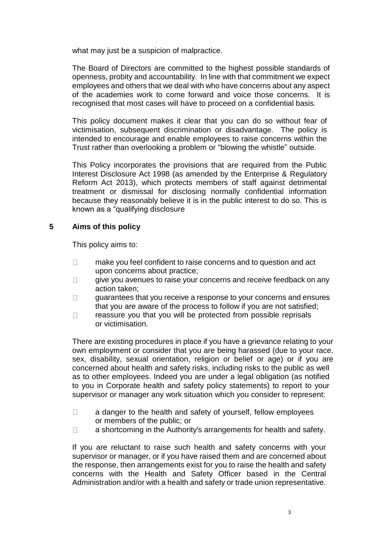what may just be a suspicion of malpractice.

The Board of Directors are committed to the highest possible standards of openness, probity and accountability. In line with that commitment we expect employees and others that we deal with who have concerns about any aspect of the academies work to come forward and voice those concerns. It is recognised that most cases will have to proceed on a confidential basis.

This policy document makes it clear that you can do so without fear of victimisation, subsequent discrimination or disadvantage. The policy is intended to encourage and enable employees to raise concerns within the Trust rather than overlooking a problem or "blowing the whistle" outside.

This Policy incorporates the provisions that are required from the Public Interest Disclosure Act 1998 (as amended by the Enterprise & Regulatory Reform Act 2013), which protects members of staff against detrimental treatment or dismissal for disclosing normally confidential information because they reasonably believe it is in the public interest to do so. This is known as a "qualifying disclosure

## **5 Aims of this policy**

This policy aims to:

- $\Box$ make you feel confident to raise concerns and to question and act upon concerns about practice;
- give you avenues to raise your concerns and receive feedback on any  $\Box$ action taken;
- $\Box$ guarantees that you receive a response to your concerns and ensures that you are aware of the process to follow if you are not satisfied;
- $\Box$ reassure you that you will be protected from possible reprisals or victimisation.

There are existing procedures in place if you have a grievance relating to your own employment or consider that you are being harassed (due to your race, sex, disability, sexual orientation, religion or belief or age) or if you are concerned about health and safety risks, including risks to the public as well as to other employees. Indeed you are under a legal obligation (as notified to you in Corporate health and safety policy statements) to report to your supervisor or manager any work situation which you consider to represent:

- $\Box$ a danger to the health and safety of yourself, fellow employees or members of the public; or
- a shortcoming in the Authority's arrangements for health and safety.  $\Box$

If you are reluctant to raise such health and safety concerns with your supervisor or manager, or if you have raised them and are concerned about the response, then arrangements exist for you to raise the health and safety concerns with the Health and Safety Officer based in the Central Administration and/or with a health and safety or trade union representative.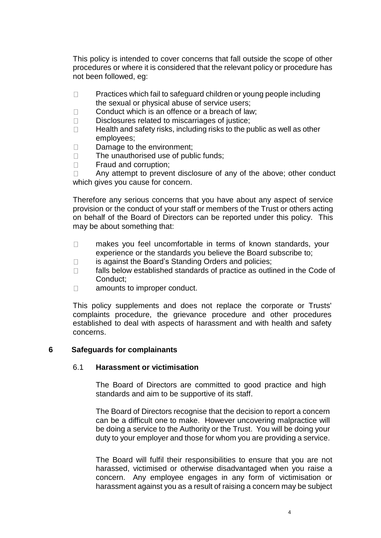This policy is intended to cover concerns that fall outside the scope of other procedures or where it is considered that the relevant policy or procedure has not been followed, eg:

- Practices which fail to safeguard children or young people including  $\Box$ the sexual or physical abuse of service users;
- Conduct which is an offence or a breach of law;  $\Box$
- $\Box$ Disclosures related to miscarriages of justice;
- $\Box$ Health and safety risks, including risks to the public as well as other employees;
- $\Box$ Damage to the environment;
- The unauthorised use of public funds;  $\Box$
- $\Box$ Fraud and corruption;

Any attempt to prevent disclosure of any of the above; other conduct  $\Box$ which gives you cause for concern.

Therefore any serious concerns that you have about any aspect of service provision or the conduct of your staff or members of the Trust or others acting on behalf of the Board of Directors can be reported under this policy. This may be about something that:

- makes you feel uncomfortable in terms of known standards, your  $\Box$ experience or the standards you believe the Board subscribe to;
- is against the Board's Standing Orders and policies;  $\Box$
- $\Box$ falls below established standards of practice as outlined in the Code of Conduct;
- $\Box$ amounts to improper conduct.

This policy supplements and does not replace the corporate or Trusts' complaints procedure, the grievance procedure and other procedures established to deal with aspects of harassment and with health and safety concerns.

#### **6 Safeguards for complainants**

#### 6.1 **Harassment or victimisation**

The Board of Directors are committed to good practice and high standards and aim to be supportive of its staff.

The Board of Directors recognise that the decision to report a concern can be a difficult one to make. However uncovering malpractice will be doing a service to the Authority or the Trust. You will be doing your duty to your employer and those for whom you are providing a service.

The Board will fulfil their responsibilities to ensure that you are not harassed, victimised or otherwise disadvantaged when you raise a concern. Any employee engages in any form of victimisation or harassment against you as a result of raising a concern may be subject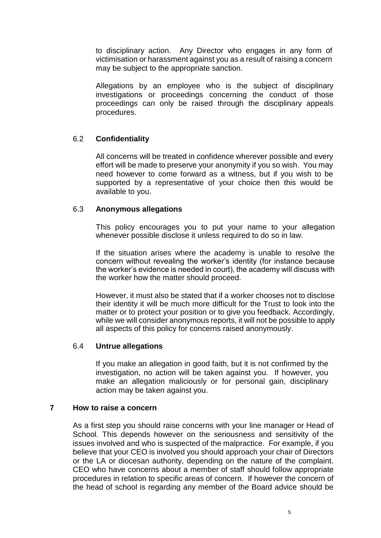to disciplinary action. Any Director who engages in any form of victimisation or harassment against you as a result of raising a concern may be subject to the appropriate sanction.

Allegations by an employee who is the subject of disciplinary investigations or proceedings concerning the conduct of those proceedings can only be raised through the disciplinary appeals procedures.

## 6.2 **Confidentiality**

All concerns will be treated in confidence wherever possible and every effort will be made to preserve your anonymity if you so wish. You may need however to come forward as a witness, but if you wish to be supported by a representative of your choice then this would be available to you.

### 6.3 **Anonymous allegations**

This policy encourages you to put your name to your allegation whenever possible disclose it unless required to do so in law.

If the situation arises where the academy is unable to resolve the concern without revealing the worker's identity (for instance because the worker's evidence is needed in court), the academy will discuss with the worker how the matter should proceed.

However, it must also be stated that if a worker chooses not to disclose their identity it will be much more difficult for the Trust to look into the matter or to protect your position or to give you feedback. Accordingly, while we will consider anonymous reports, it will not be possible to apply all aspects of this policy for concerns raised anonymously.

### 6.4 **Untrue allegations**

If you make an allegation in good faith, but it is not confirmed by the investigation, no action will be taken against you. If however, you make an allegation maliciously or for personal gain, disciplinary action may be taken against you.

#### **7 How to raise a concern**

As a first step you should raise concerns with your line manager or Head of School. This depends however on the seriousness and sensitivity of the issues involved and who is suspected of the malpractice. For example, if you believe that your CEO is involved you should approach your chair of Directors or the LA or diocesan authority, depending on the nature of the complaint. CEO who have concerns about a member of staff should follow appropriate procedures in relation to specific areas of concern. If however the concern of the head of school is regarding any member of the Board advice should be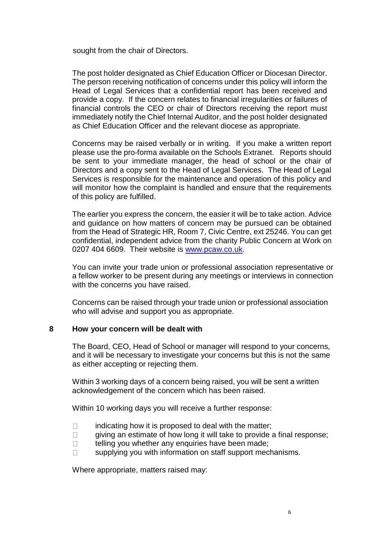sought from the chair of Directors.

The post holder designated as Chief Education Officer or Diocesan Director. The person receiving notification of concerns under this policy will inform the Head of Legal Services that a confidential report has been received and provide a copy. If the concern relates to financial irregularities or failures of financial controls the CEO or chair of Directors receiving the report must immediately notify the Chief Internal Auditor, and the post holder designated as Chief Education Officer and the relevant diocese as appropriate.

Concerns may be raised verbally or in writing. If you make a written report please use the pro-forma available on the Schools Extranet. Reports should be sent to your immediate manager, the head of school or the chair of Directors and a copy sent to the Head of Legal Services. The Head of Legal Services is responsible for the maintenance and operation of this policy and will monitor how the complaint is handled and ensure that the requirements of this policy are fulfilled.

The earlier you express the concern, the easier it will be to take action. Advice and guidance on how matters of concern may be pursued can be obtained from the Head of Strategic HR, Room 7, Civic Centre, ext 25246. You can get confidential, independent advice from the charity Public Concern at Work on 0207 404 6609. Their website is [www.pcaw.co.uk.](http://www.pcaw.co.uk/)

You can invite your trade union or professional association representative or a fellow worker to be present during any meetings or interviews in connection with the concerns you have raised.

Concerns can be raised through your trade union or professional association who will advise and support you as appropriate.

### **8 How your concern will be dealt with**

The Board, CEO, Head of School or manager will respond to your concerns, and it will be necessary to investigate your concerns but this is not the same as either accepting or rejecting them.

Within 3 working days of a concern being raised, you will be sent a written acknowledgement of the concern which has been raised.

Within 10 working days you will receive a further response:

- indicating how it is proposed to deal with the matter;  $\Box$
- giving an estimate of how long it will take to provide a final response;  $\Box$
- $\Box$ telling you whether any enquiries have been made;
- supplying you with information on staff support mechanisms.  $\Box$

Where appropriate, matters raised may: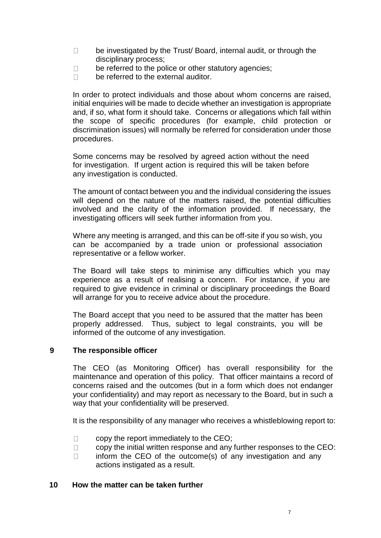- $\Box$ be investigated by the Trust/ Board, internal audit, or through the disciplinary process;
- be referred to the police or other statutory agencies;  $\Box$
- be referred to the external auditor.  $\Box$

In order to protect individuals and those about whom concerns are raised, initial enquiries will be made to decide whether an investigation is appropriate and, if so, what form it should take. Concerns or allegations which fall within the scope of specific procedures (for example, child protection or discrimination issues) will normally be referred for consideration under those procedures.

Some concerns may be resolved by agreed action without the need for investigation. If urgent action is required this will be taken before any investigation is conducted.

The amount of contact between you and the individual considering the issues will depend on the nature of the matters raised, the potential difficulties involved and the clarity of the information provided. If necessary, the investigating officers will seek further information from you.

Where any meeting is arranged, and this can be off-site if you so wish, you can be accompanied by a trade union or professional association representative or a fellow worker.

The Board will take steps to minimise any difficulties which you may experience as a result of realising a concern. For instance, if you are required to give evidence in criminal or disciplinary proceedings the Board will arrange for you to receive advice about the procedure.

The Board accept that you need to be assured that the matter has been properly addressed. Thus, subject to legal constraints, you will be informed of the outcome of any investigation.

### **9 The responsible officer**

The CEO (as Monitoring Officer) has overall responsibility for the maintenance and operation of this policy. That officer maintains a record of concerns raised and the outcomes (but in a form which does not endanger your confidentiality) and may report as necessary to the Board, but in such a way that your confidentiality will be preserved.

It is the responsibility of any manager who receives a whistleblowing report to:

- copy the report immediately to the CEO;  $\Box$
- copy the initial written response and any further responses to the CEO:  $\Box$
- inform the CEO of the outcome(s) of any investigation and any  $\Box$ actions instigated as a result.

#### **10 How the matter can be taken further**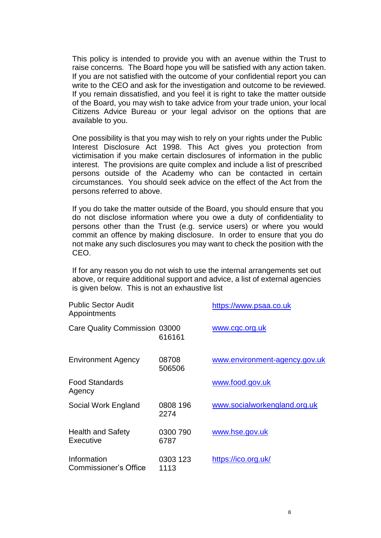This policy is intended to provide you with an avenue within the Trust to raise concerns. The Board hope you will be satisfied with any action taken. If you are not satisfied with the outcome of your confidential report you can write to the CEO and ask for the investigation and outcome to be reviewed. If you remain dissatisfied, and you feel it is right to take the matter outside of the Board, you may wish to take advice from your trade union, your local Citizens Advice Bureau or your legal advisor on the options that are available to you.

One possibility is that you may wish to rely on your rights under the Public Interest Disclosure Act 1998. This Act gives you protection from victimisation if you make certain disclosures of information in the public interest. The provisions are quite complex and include a list of prescribed persons outside of the Academy who can be contacted in certain circumstances. You should seek advice on the effect of the Act from the persons referred to above.

If you do take the matter outside of the Board, you should ensure that you do not disclose information where you owe a duty of confidentiality to persons other than the Trust (e.g. service users) or where you would commit an offence by making disclosure. In order to ensure that you do not make any such disclosures you may want to check the position with the CEO.

If for any reason you do not wish to use the internal arrangements set out above, or require additional support and advice, a list of external agencies is given below. This is not an exhaustive list

| <b>Public Sector Audit</b><br>Appointments |                  | https://www.psaa.co.uk        |
|--------------------------------------------|------------------|-------------------------------|
| Care Quality Commission 03000              | 616161           | www.cqc.org.uk                |
| <b>Environment Agency</b>                  | 08708<br>506506  | www.environment-agency.gov.uk |
| <b>Food Standards</b><br>Agency            |                  | www.food.gov.uk               |
| Social Work England                        | 0808 196<br>2274 | www.socialworkengland.org.uk  |
| <b>Health and Safety</b><br>Executive      | 0300 790<br>6787 | www.hse.gov.uk                |
| Information<br>Commissioner's Office       | 0303 123<br>1113 | https://ico.org.uk/           |